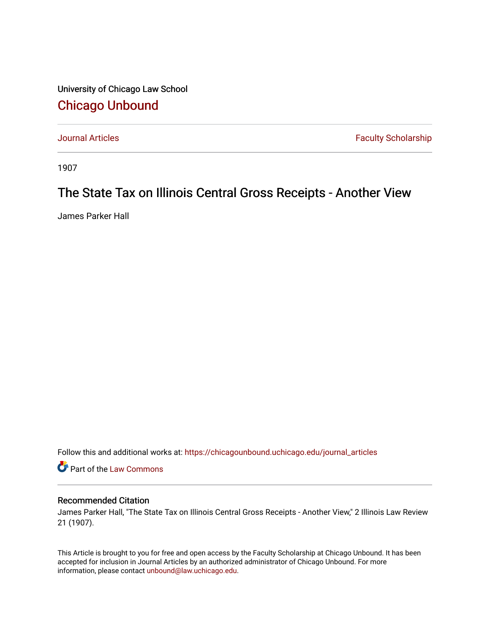University of Chicago Law School [Chicago Unbound](https://chicagounbound.uchicago.edu/)

[Journal Articles](https://chicagounbound.uchicago.edu/journal_articles) **Faculty Scholarship Faculty Scholarship** 

1907

## The State Tax on Illinois Central Gross Receipts - Another View

James Parker Hall

Follow this and additional works at: [https://chicagounbound.uchicago.edu/journal\\_articles](https://chicagounbound.uchicago.edu/journal_articles?utm_source=chicagounbound.uchicago.edu%2Fjournal_articles%2F9528&utm_medium=PDF&utm_campaign=PDFCoverPages) 

Part of the [Law Commons](http://network.bepress.com/hgg/discipline/578?utm_source=chicagounbound.uchicago.edu%2Fjournal_articles%2F9528&utm_medium=PDF&utm_campaign=PDFCoverPages)

## Recommended Citation

James Parker Hall, "The State Tax on Illinois Central Gross Receipts - Another View," 2 Illinois Law Review 21 (1907).

This Article is brought to you for free and open access by the Faculty Scholarship at Chicago Unbound. It has been accepted for inclusion in Journal Articles by an authorized administrator of Chicago Unbound. For more information, please contact [unbound@law.uchicago.edu](mailto:unbound@law.uchicago.edu).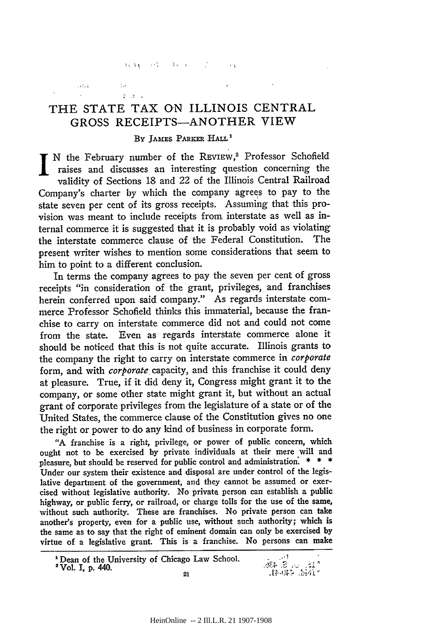HACKS CONTROL

 $\mathcal{L}$ 

 $2.2.7$ 

**CONTRACTOR** 

## THE STATE TAX ON ILLINOIS CENTRAL **GROSS RECEIPTS-ANOTHER** VIEW

## **By** JAMES PARKER HALL

I N the February number of the REVIEW,<sup>2</sup> Professor Schofield raises and discusses an interesting question concerning the validity of Sections 18 and 22 of the Illinois Central Railroad Company's charter by which the company agrees to pay to the state seven per cent of its gross receipts. Assuming that this provision was meant to include receipts from interstate as well as internal commerce it is suggested that it is probably void as violating the interstate commerce clause of the Federal Constitution. The present writer wishes to mention some considerations that seem to him to point to a different conclusion.

In terms the company agrees to pay the seven per cent of gross receipts "in consideration of the grant, privileges, and franchises herein conferred upon said company." As regards interstate commerce Professor Schofield thinks this immaterial, because the franchise to carry on interstate commerce did not and could not come from the state. Even as regards interstate commerce alone it should be noticed that this is not quite accurate. Illinois grants to the company the right to carry on interstate commerce in *corporate* form, and with *corporate* capacity, and this franchise it could deny at pleasure. True, if it did deny it, Congress might grant it to the company, or some other state might grant it, but without an actual grant of corporate privileges from the legislature of a state or of the United States, the commerce clause of the Constitution gives no one the right or power to do any kind of business in corporate form.

"A franchise is a right, privilege, or power of public concern, which ought not to be exercised by private individuals at their mere will and pleasure, but should be reserved for public control and administration. **\* \* \*** Under our system their existence and disposal are under control of the legislative department of the government, and they cannot be assumed or exercised without legislative authority. No private person can establish a public highway, or public ferry, or railroad, or charge tolls for the use of the same, without such authority. These are franchises. No private person can take another's property, even for a public use, without such authority; which is the same as to say that the right of eminent domain can only be exercised by virtue of a legislative grant. This is a franchise. No persons can make

<sup>1</sup> Dean of the University of Chicago Law School. **Example 1 Dean of the University of Chicago Law School.**<br> **21**<br> **21**<br> **21**<br> **21**<br> **21**<br> **21**<br> **21**<br> **21**<br> **21**<br> **21**<br> **21**<br> **21**<br> **21**<br> **21**<br> **2014**<br> **21**<br> **21**<br> **21**<br> **21**<br> **2014**<br> **2014**<br> **2014**<br> **2014**<br> **2014**<br> **2014**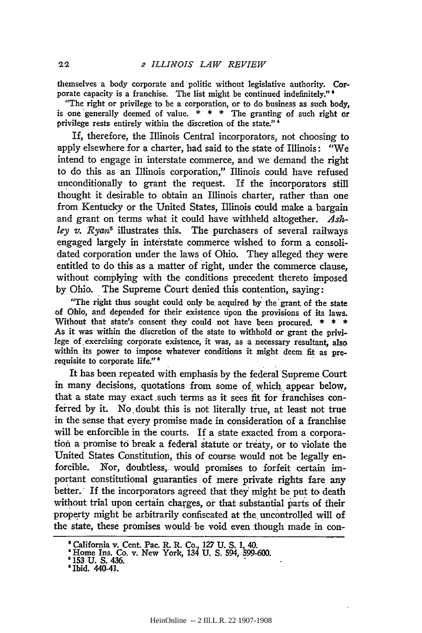themselves a body corporate and politic without legislative authority. Corporate capacity is a franchise. The list might be continued indefinitely."<sup>2</sup>

"The right or privilege to be a corporation, or to do business as such body, is one generally deemed of value.  $* * *$  The granting of such right or privilege rests entirely within the discretion of the state."'

If, therefore, the Illinois Central incorporators, not choosing to apply elsewhere for a charter, had said to the state of Illinois: "We intend to engage in interstate commerce, and we demand the right to do this as an Illinois corporation," Illinois could have refused unconditionally to grant the request. If the incorporators still thought it desirable to obtain an Illinois charter, rather than one from Kentucky or the United States, Illinois could make a bargain and grant on terms what it could have withheld altogether. *Ash*ley v. Ryan<sup>5</sup> illustrates this. The purchasers of several railways engaged largely in interstate commerce wished to form a consolidated corporation under the laws of Ohio. They alleged they were entitled to do this as a matter of right, under the commerce clause, without complying with the conditions precedent thereto imposed **by** Ohio. The Supreme Court denied this contention, saying:

"The right thus sought could only be acquired **by** the'grant, of the state of Ohio, and depended for their existence upon the provisions of its laws. Without that state's consent they could not have been procured. **\* \* \*** As it was within the discretion of the state to withhold or grant the privilege of exercising corporate existence, it was, as a necessary resultant, also within its power to impose whatever conditions it might deem fit as prerequisite to corporate **life."'**

It has been repeated with emphasis **by** the federal Supreme Court in many decisions, quotations from some of which appear below, that a state may exact such terms as it sees fit for franchises conferred **by** it. No doubt this is not literally true, at least not true in the sense that every promise made in consideration of a franchise will be enforcible in the courts. If a state exacted from a corporation a promise to break a federal statute or treaty, or to violate the United States Constitution, this of course would not be legally enforcible. Nor, doubtless, would promises to forfeit certain **im**portant constitutional guaranties of mere private rights fare any better. If the incorporators agreed that they might be put to death without trial upon certain charges, or that substantial parts of their property might be arbitrarily confiscated at the uncontrolled will of the state, these promises would- be void even though made in con-

<sup>&#</sup>x27; California v. Cent. Pac. R. R. Co., **127 U. S. 1,** 40. 'Home Ins. Co. v. New York, 134 **U. S.** 594, **599-600.**

**<sup>5</sup>153 U. S. 436.**<br>**5Ibid.** 440-41.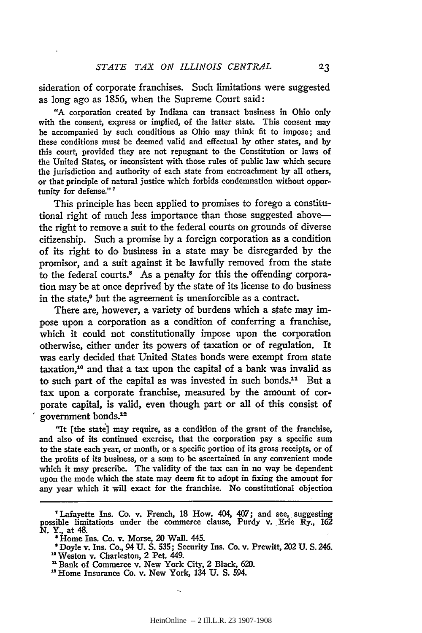sideration of corporate franchises. Such limitations were suggested as long ago as 1856, when the Supreme Court said:

"A corporation created by Indiana can transact business in Ohio only with the consent, express or implied, of the latter state. This consent may be accompanied by such conditions as Ohio may think fit to impose; and these conditions must be deemed valid and effectual by other states, and by this court, provided they are not repugnant to the Constitution or laws of the United States, or inconsistent with those rules of public law which secure the jurisdiction and authority of each state from encroachment by all others, or that principle of natural justice which forbids condemnation without opportunity for defense."<sup>7</sup>

This principle has been applied to promises to forego a constitutional right of much less importance than those suggested abovethe right to remove a suit to the federal courts on grounds of diverse citizenship. Such a promise **by** a foreign corporation as a condition of its right to do business in a state may be disregarded **by** the promisor, and a suit against it be lawfully removed from the state to the federal courts.<sup>8</sup> As a penalty for this the offending corporation may be at once deprived **by** the state of its license to do business in the state,<sup>9</sup> but the agreement is unenforcible as a contract.

There are, however, a variety of burdens which a state may impose upon a corporation as a condition of conferring a franchise, which it could not constitutionally impose upon the corporation otherwise, either under its powers of taxation or of regulation. It was early decided that United States bonds were exempt from state taxation,10 and that a tax upon the capital of a bank was invalid as to such part of the capital as was invested in such bonds.<sup>11</sup> But a tax upon a corporate franchise, measured **by** the amount of corporate capital, is valid, even though part or all of this consist of government bonds.12

"It [the state] may require, as a condition of the grant of the franchise, and also of its continued exercise, that the corporation pay a specific sum to the state each year, or month, or a specific portion of its gross receipts, or of the profits of its business, or a **sum** to be ascertained in any convenient mode which it may prescribe. The validity of the tax can in no way be dependent upon the mode which the state may deem fit to adopt in fixing the amount for any year which it will exact for the franchise. No constitutional objection

<sup>&</sup>quot;Lafayette Ins. Co. v. French, **18** How. 404, 407; and see, suggesting possible limitations under the commerce clause, Purdy v. Erie Ry., **162 N.** Y., at 48.

<sup>&#</sup>x27; **Home** Ins. Co. v. Morse, 20 Wall. 445.

**<sup>&#</sup>x27;** Doyle v. Ins. Co., 94 **U. S.** 535; Security Ins. Co. v. Prewitt, 202 **U. S.** 246.

**<sup>&</sup>quot;0 Weston** v. Charleston, 2 Pet. 449.

<sup>&</sup>lt;sup>11</sup> Bank of Commerce v. New York City, 2 Black, 620.

<sup>&</sup>quot;Home Insurance Co. v. New York, 134 **U. S.** 594.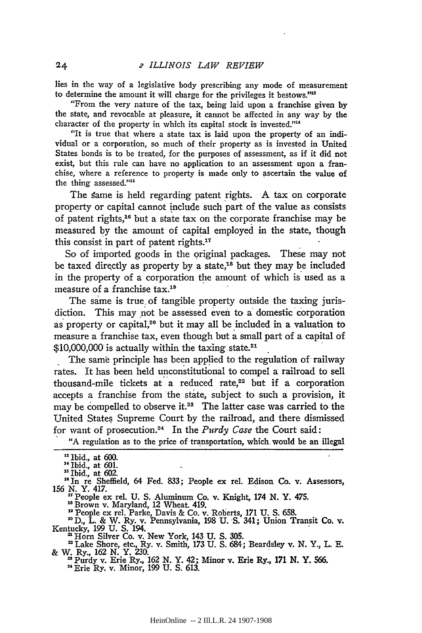lies in the way of a legislative body prescribing any mode of measurement to determine the amount it will charge for the privileges it bestows."<sup>13</sup>

"From the very nature of the tax, being laid upon a franchise given by the state, and revocable at pleasure, it cannot be affected in any way by the character of the property in which its capital stock is invested.""

"It is true that where a state tax is laid upon the property of an individual or a corporation, so much of their property as is invested in United States bonds is to be treated, for the purposes of assessment, as if it did not exist, but this rule can have no application to an assessment upon a franchise, where a reference to property is made only to ascertain the value of the thing assessed."<sup>13</sup>

The same is held regarding patent rights. A tax on corporate property or capital cannot include such part of the value as consists of patent rights,16 but a state tax on the corporate franchise may be measured by the amount of capital employed in the state, though this consist in part of patent rights. $17$ 

So **of** imported goods in the original packages. These may not be taxed directly as property by a state,<sup>18</sup> but they may be included in the property of a corporation the amount of which is used as a measure of a franchise tax.19

The same is true, of tangible property outside the taxing jurisdiction. This may not be assessed even to a domestic corporation as property or capital,<sup>20</sup> but it may all be included in a valuation to measure a franchise tax, even though but a small part of a capital of  $$10,000,000$  is actually within the taxing state.<sup>21</sup>

The same principle has been applied to the regulation of railway rates. It has been held unconstitutional to compel a railroad to sell thousand-mile tickets at a reduced rate, $22$  but if a corporation accepts a franchise from the state, subject to such a provision, it may be compelled to observe it.<sup>23</sup> The latter case was carried to the United States Supreme Court **by** the railroad, and there dismissed for want of prosecution. 24 In the *Purdy Case* the Court said:

"A regulation as to the price of transportation, which, would be an illegal

"In re Sheffield, 64 Fed. **833;** People ex rel. Edison Co. v. Assessors, **156** *N.* Y. 417.

"People ex rel. U. S. Aluminum Co. v. Knight, 174 *N.* Y. 475. **"Brown** v. Maryland, 12 Wheat. 419.

**"** People ex rel. Parke, Davis **&** Co. v. Roberts, **171 U. S. 658. "nD.,** L. & W. Ry. v. Pennsylvania, **198 U. S.** 341; Union Transit Co. v.

Kentucky, **199 U. S.** 194. Horn Silver Co. v. New York, 143 U. S. 305.

Lake Shore, etc., Ry. v. Smith, 173 U. **S.** 684; Beardsley v. N. Y., L. **E.** & W. Ry., **162** N. Y. 230. **"** Purdy v. Erie Ry., **162** N. Y. 42; Minor v. Erie Ry., **171** N. Y. 566.

" Erie Ry. v. Minor, 199 U. **S.** 613.

<sup>&</sup>lt;sup>13</sup> Ibid., at 600.

 $\frac{14}{10}$  Ibid., at 601.

 $15$  Ibid., at  $602$ .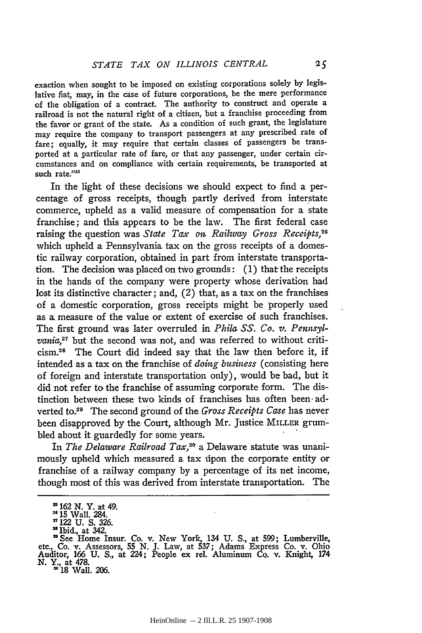exaction when sought to be imposed on existing corporations solely **by** legislative fiat, may, in the case of future corporations, be the mere performance of the obligation of a contract. The authority to construct and operate a railroad is not the natural right of a citizen, but a franchise proceeding from the favor or grant of the state. As a condition of such grant, the legislature may require the company to transport passengers at any prescribed rate of fare; equally, it may require that certain classes of passengers be transported at a particular rate of fare, or that any passenger, under certain circumstances and on compliance with certain requirements, be transported at such rate."25

In the light of these decisions we should expect to find a percentage of gross receipts, though partly derived from interstate commerce, upheld as a valid measure of compensation for a state franchise; and this appears to be the law. The first federal case raising the question was *State Tax on Railway Gross Receipts,20* which upheld a Pennsylvania tax on the gross receipts of a domestic railway corporation, obtained in part from interstate transportation. The decision was placed on two grounds: (1) that the receipts in the hands of the company were property whose derivation had lost its distinctive character; and, (2) that, as a tax on the franchises of a domestic corporation, gross receipts might be properly used as **a,** measure of the value or extent of exercise of such franchises. The first ground was later overruled in *Phila SS. Co. v. Penmsylvania*,<sup>27</sup> but the second was not, and was referred to without criti**cism. <sup>2</sup> <sup>s</sup>**The Court did indeed say that the law then before it, if intended as a tax on the franchise of *doing business* (consisting here of foreign and interstate transportation only), would be bad, but it did not refer to the franchise of assuming corporate form. The distinction between these two kinds of franchises has often been adverted to.29 The second ground of the *Gross Receipts Case* has never been disapproved **by** the Court, although Mr. justice MILLER grumbled about it guardedly for some years.

In *The Delaware Railroad Tax*,<sup>30</sup> a Delaware statute was unanimously upheld which measured a tax uipon the corporate entity or franchise of a railway company **by** a percentage of its net income, though most of this was derived from interstate transportation. The

**<sup>2162</sup> N.** Y. at 49.

<sup>29</sup>**15** Wall. 284. **'7122** U. S. **326.**

<sup>28</sup> Ibid., at 342.

**<sup>&</sup>quot;** See Home Insur. Co. v. New York, 134 U. S., at 599; Lumberville, etc., Co. v. Assessors, 55 N. J. Law, at 537; Adams Express Co. v. Ohio Auditor, **166 U. S.,** at 224; People ex rel. Aluminum Co. v. Knight, 174 *N.* Y., at 478. **3018** Wall. 206.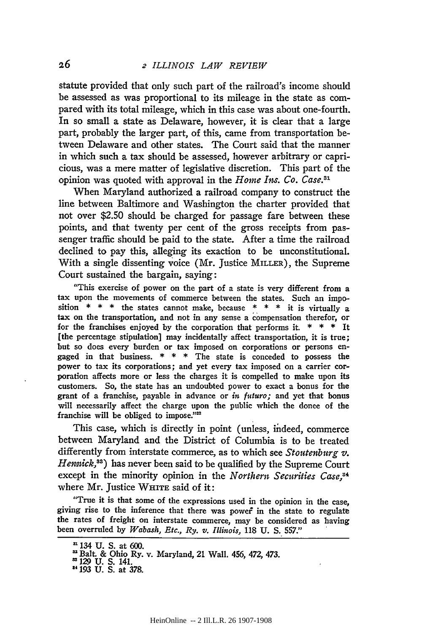statute provided that only such part of the railroad's income should be assessed as was proportional to its mileage in the state as compared with its total mileage, which in this case was about one-fourth. In so small a state as Delaware, however, it is clear that a large part, probably the larger part, of this, came from transportation between Delaware and other states. The Court said that the manner in which such a tax should be assessed, however arbitrary or capricious, was a mere matter of legislative discretion. This part of the opinion was quoted with approval in the *Home Ins. Co. Case*.<sup>31</sup>

When Maryland authorized a railroad company to construct the line between Baltimore and Washington the charter provided that not over \$2.50 should be charged for passage fare between these points, and that twenty per cent of the gross receipts from passenger traffic should be paid to the state. After a time the railroad declined to pay this, alleging its exaction to be unconstitutional. With a single dissenting voice (Mr. Justice MILLER), the Supreme Court sustained the bargain, saying:

"This exercise of power on the part of a state is very different from a tax upon the movements of commerce between the states. Such an imposition  $* * *$  the states cannot make, because  $* * *$  it is virtually a tax on the transportation, and not in any sense a compensation therefor, or for the franchises enjoyed by the corporation that performs it. \* \* \* **It** [the percentage stipulation] may incidentally affect transportation, it is true; but so does every burden or tax imposed on corporations or persons engaged in that business.  $* * *$  The state is conceded to possess the power to tax its corporations; and yet every tax imposed on a carrier corporation affects more or less the charges it is compelled to make upon its customers. **So,** the state has an undoubted power to exact a bonus for the grant of a franchise, payable in advance or *in* futuro; and yet that bonus will necessarily affect the charge upon the public which the donee of the franchise will be obliged to impose."<sup>22</sup>

This case, which is directly in point (unless, indeed, commerce between Maryland and the District of Columbia is to be treated differently from interstate commerce, as to which see *Stoutenburg v. Hemmick, <sup>3</sup> )* has never been said to be qualified by the Supreme Court except in the minority opinion in the *Northern Securities Case*,<sup>34</sup> where Mr. Justice WHITE said of it:

"True it is that some of the expressions used in the opinion in the case, giving rise to the inference that there was powef in the state to regulate the rates of freight on interstate commerce, may be considered as having been overruled by *Wabash, Etc., Ry. v. Illinois,* 118 U. **S.** 557."

<sup>134</sup> **U. S.** at 600.

<sup>&</sup>quot;Balt. **&** Ohio Ry. v. Maryland, 21 Wall. 456, *472,* 473.

**<sup>&</sup>quot;129 U. S.** 141.

<sup>&</sup>lt;sup>34</sup> 193 U. S. at 378.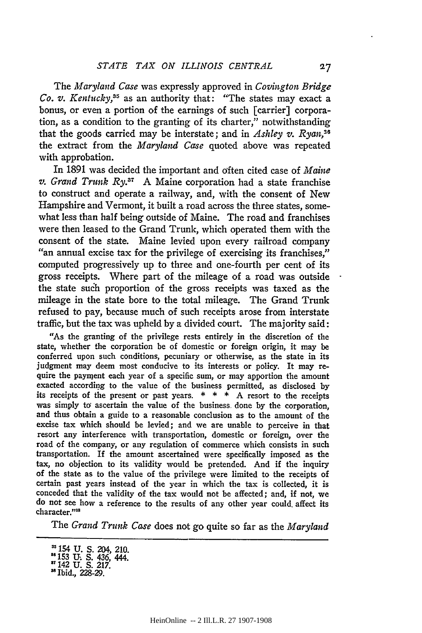The *Maryland Case* was expressly approved in *Covington Bridge Co. v. Kentucky,35* as an authority that: "The states may exact a bonus, or even a portion of the earnings of such [carrier] corporation, as a condition to the granting of its charter," notwithstanding that the goods carried may be interstate; and in *Ashley v. Ryan,36* the extract from the *Maryland Case* quoted above was repeated with approbation.

In **1891** was decided the important and often cited case of *Maine v. Grand Trnk Ry.37* **A** Maine corporation had a state franchise to construct and operate a railway, and, with the consent of New Hampshire and Vermont, it built a road across the three states, somewhat less than half being outside of Maine. The road and franchises were then leased to the Grand Trunk, which operated them with the consent of the state. Maine levied upon every railroad company *"an* annual excise tax for the privilege of exercising its franchises," computed progressively up to three and one-fourth per cent of its gross receipts. Where part of the mileage of a road was outside the state such proportion of the gross receipts was taxed as the mileage in the state bore to the total mileage. The Grand Trunk refused to pay, because much of such receipts arose from interstate traffic, but the tax was upheld **by** a divided court. The majority said:

"As the granting of the privilege rests entirely in the discretion of the state, whether the corporation **be** of domestic or foreign origin, it may be conferred upon such conditions, pecuniary or otherwise, as the state in its judgment may deem most conducive to its interests or policy. It may require the paynent each year of a specific sum, or may apportion the amount exacted according to the value of the business permitted, as disclosed **by** its receipts of the present or past years. **\* \* \* A** resort to the receipts was simply to ascertain the value of the business done by the corporation, and thus obtain a guide to a reasonable conclusion as to the amount of the excise tax which should be levied; and we are unable to perceive in that resort any interference with transportation, domestic or foreign, over the road of the company, or any regulation of commerce which consists in such transportation. If the amount ascertained were specifically imposed as the tax, no objection to its validity would be pretended. And if the inquiry of the state as to the value of the privilege were limited to the receipts of certain past years instead of the year in which the tax is collected, it is conceded that the validity of the tax would not be affected; and, if not, we do not see how a reference to the results of any other year could, affect its character."<sup>38</sup>

The *Grand Trunk Case* does not go quite so far as the *Maryland*

<sup>&</sup>quot;154 **U. S.** 204, 210. **U153 U. S.** 436, 444.

**<sup>31142</sup> U. S. 217.** Ibid., **228-29.**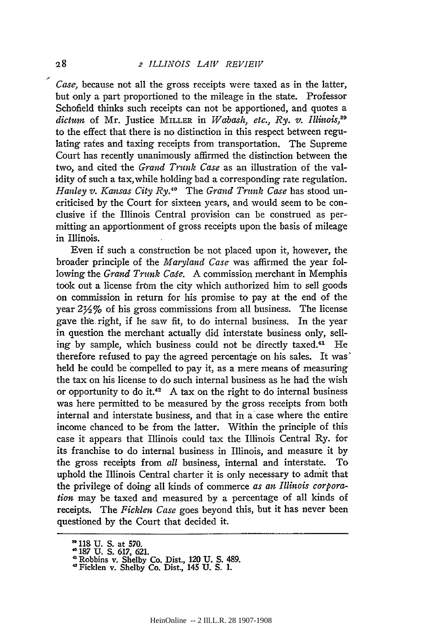*Case,* because not all the gross receipts were taxed as in the latter, but only a part proportioned to the mileage in the state. Professor Schofield thinks such receipts can not be apportioned, and quotes a *dictum* of Mr. Justice MILLER in *Wabash, etc., Ry.* v. *Illiois,39* to the effect that there is no distinction in this respect between regulating rates and taxing receipts from transportation. The Supreme Court has recently unanimously affirmed the distinction between the two, and cited the *Grand Trunk Case* as an illustration of the validity of such a tax, while holding bad a corresponding rate regulation. *Hanley v. Kansas City Ry.*<sup>40</sup> The *Grand Trunk Case* has stood uncriticised by the Court for sixteen years, and would seem to be conclusive if the Illinois Central provision can be construed as permitting an apportionment of gross receipts upon the basis of mileage in Illinois.

Even if such a construction be not placed upon it, however, the broader principle of the *Maryland Case* was affirmed the year following the *Grand Trunk Case*. A commission merchant in Memphis took out a license from the city which authorized him to sell goods on commission in return for his promise to pay at the end of the year **2Y2%** of his gross commissions from all business. The license gave the right, if he saw fit, to do internal business. In the year in question the merchant actually did interstate business only, selling by sample, which business could not be directly taxed.<sup>41</sup> He therefore refused to pay the agreed percentage on his sales. It was held he could be compelled to pay it, as a mere means of measuring the tax on his license to do such internal business as he had the wish or opportunity to do it.42 **A** tax on the right to do internal business was here permitted to be measured by the gross receipts from both internal and interstate business, and that in a'case where the entire income chanced to be from the latter. Within the principle of this case it appears that Illinois could tax the Illinois Central Ry. for its franchise to do internal business in Illinois, and measure it by the gross receipts from *all* business, internal and interstate. To uphold the Illinois Central charter it is only necessary to admit that the privilege of doing all kinds of commerce *as an Illinois corporation* may be taxed and measured by a percentage of all kinds of receipts. The *Ficklen Case* goes beyond this, but it has never been questioned by the Court that decided it.

 $28$ 

**<sup>&</sup>lt;sup><b>,**o</sup> 118 U. S. at 570.<br> **<sup>4</sup> 187 U. S. 617, 621.** 

**<sup>&#</sup>x27;** Robbins v. Shelby Co. Dist., 120 **U. S.** 489. "Ficklen v. Shelby Co. Dist., 145 **U. S. 1.**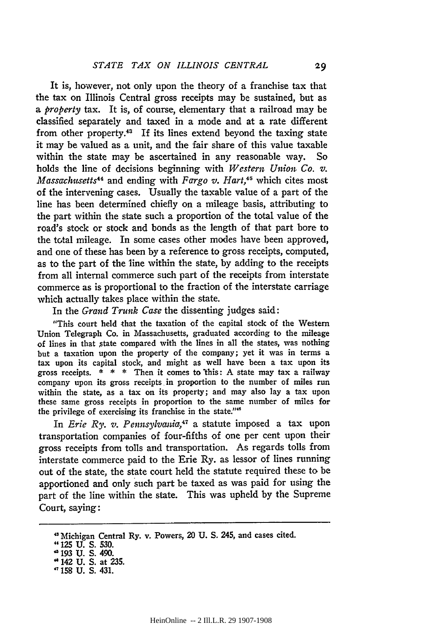It is, however, not only upon the theory of a franchise tax that the tax on Illinois Central gross receipts may be sustained, but as *a property* tax. It is, of course, elementary that a railroad may be classified separately and taxed in a mode and at a rate different from other property. $43$  If its lines extend beyond the taxing state it may be valued as a unit, and the fair share of this value taxable within the state may be ascertained in any reasonable way. So holds the line of decisions beginning with *Western Union Co.* v. *Massachusetts<sup>44</sup>* and ending with *Fargo v. Hart*,<sup>45</sup> which cites most of the intervening cases. Usually the taxable value of a part of the line has been determined chiefly on a mileage basis, attributing to the part within the state such a proportion of the total value of the road's stock or stock and bonds as the length of that part bore to the total mileage. In some cases other modes have been approved, and one of these has been by a reference to gross receipts, computed, as to the part of the line within the state, by adding to the receipts from all internal commerce such part of the receipts from interstate commerce as is proportional to the fraction of the interstate carriage which actually takes place within the state.

In the *Grand Trunk Case* the dissenting judges said:

"This court held that the taxation of the capital stock of the Western Union Telegraph Co. in Massachusetts, graduated according to the mileage of lines in that state compared with the lines in all the states, was nothing but a taxation upon the property of the company; yet it was in terms a tax upon its capital stock, and might as well have been a tax upon its gross receipts. \* \* \* Then it comes to this: **A** state may tax a railway company upon its gross receipts in proportion to the number of miles run within the state, as a tax on its property; and may also lay a tax upon these same gross receipts in proportion to the same number of miles for the privilege of exercising its franchise in the state."<sup>6</sup>

In *Erie Ry. v. Pennsylvania*,<sup>47</sup> a statute imposed a tax upon transportation companies of four-fifths of one per cent upon their gross receipts from tolls and transportation. As regards tolls from interstate commerce paid to the Erie Ry. as lessor of lines running out of the state, the state court held the statute required these to be apportioned and only such part be taxed as was paid for using the part of the line within the state. This was upheld by the Supreme Court, saying:

Michigan Central Ry. v. Powers, 20 **U. S.** 245, and cases cited.

<sup>&</sup>quot;125 **U. S. 530.** " **193 U. S.** 490.

<sup>&</sup>quot; 142 **U. S.** at **235. ,158 U. S.** 431.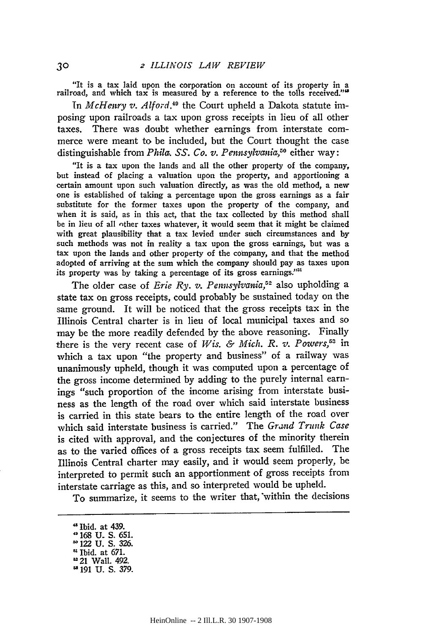"It is a tax laid upon the corporation on account of its property in a railroad, and which tax is measured by a reference to the tolls received.'

In *McHeury v. Alford*,<sup>40</sup> the Court upheld a Dakota statute imposing upon railroads a tax upon gross receipts in lieu of all other taxes. There was doubt whether earnings from interstate commerce were meant to be included, but the Court thought the case distinguishable from *Phila. SS. Co. v. Pennsylvania,50* either way:

"It is a tax upon the lands and all the other property of the company, but instead of placing a valuation upon the property, and apportioning a certain amount upon such valuation directly, as was the old method, a new one is established of taking a percentage upon the gross earnings as a fair substitute for the former taxes upon the property of the company, and when it is said, as in this act, that the tax collected by this method shall be in lieu of all nther taxes whatever, it would seem that it might be claimed with great plausibility that a tax levied under such circumstances and by such methods was not in reality a tax upon the gross earnings, but was a tax upon the lands and other property of the company, and that the method adopted of arriving at the sum which the company should pay as taxes upon its property was **by** taking a percentage of its gross **earnings: '**

The older case of *Erie Ry. v. Pennsylvania, <sup>5</sup> <sup>2</sup>*also upholding a state tax on gross receipts, could probably be sustained today on the same ground. It will be noticed that the gross receipts tax in the Illinois Central charter is in lieu of local municipal taxes and so may be the more readily defended **by** the above reasoning. Finally there is the very recent case of Wis. & Mich. R. v. Powers,<sup>53</sup> in which a tax upon "the property and business" of a railway was unanimously upheld, though it was computed upon a percentage of the gross income determined by adding to the purely internal earnings "such proportion of the income arising from interstate business as the length of the road over which said interstate business is carried in this state bears to the entire length of the road over which said interstate business is carried." The *Grand Trunk Case* is cited with approval, and the conjectures of the minority therein as to the varied offices of a gross receipts tax seem fulfilled. The Illinois Central charter may easily, and it would seem properly, be interpreted to permit such an apportionment of gross receipts from interstate carriage as this, and so interpreted would be upheld.

To summarize, it seems to the writer that, within the decisions

**<sup>&</sup>quot;** Ibid. at 439. " 168 **U\_ S.** 651. " 122 U. **S.** 326. Ibid. at 671. 21 Wall. 492.

 $191$  U.S. 379.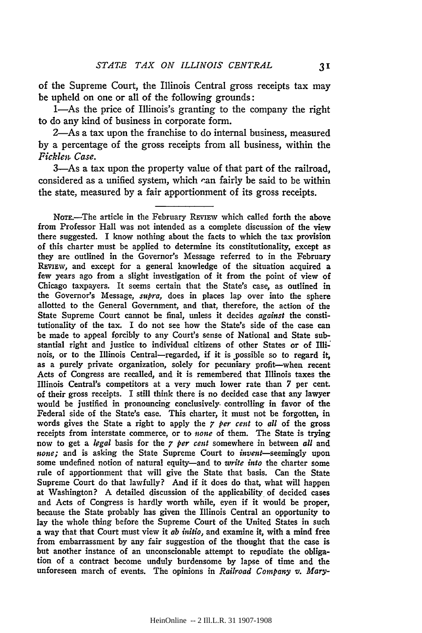of the Supreme Court, the Illinois Central gross receipts tax may be upheld on one or all of the following grounds:

1—As the price of Illinois's granting to the company the right to do any kind of business in corporate form.

2-As a tax upon the franchise to do internal business, measured by a percentage of the gross receipts from all business, within the *Ficklen Case.*

3-As a tax upon the property value of that part of the railroad, considered as a unified system, which can fairly be said to be within the state, measured by a fair apportionment of its gross receipts.

NoTE.-The article in the February **REViEW** which called forth the above from Professor Hall was not intended as a complete discussion of the view there suggested. I know nothing about the facts to which the tax provision of this charter must be applied to determine its constitutionality, except as they are outlined in the Governor's Message referred to in the February REviEw, and except for a general knowledge of the situation acquired a few years ago from a slight investigation of it from the point of view of Chicago taxpayers. It seems certain that the State's case, as outlined in the Governor's Message, *supra,* does in places lap over into the sphere allotted to the General Government, and that, therefore, the action of the State Supreme Court cannot be final, unless it decides *against* the constitutionality of the tax. I do not see how the State's side of the case can be made to appeal forcibly to any Court's sense of National and State substantial right and justice to individual citizens of other States or of Illi-" nois, or to the Illinois Central-regarded, if it is possible so to regard it, as a purely private organization, solely for pecuniary profit-when recent Acts of Congress are recalled, and it is remembered that Illinois taxes the Illinois Central's competitors at a very much lower rate than **7** per cent. of their gross receipts. I still think there is no decided case that any lawyer would be justified in pronouncing conclusively, controlling in favor of the Federal side **of** the State's case. This charter, it must not be forgotten, in words gives the State a right to apply the 7 *per cent* to *all* of the gross receipts from interstate commerce, or to *none* of them. The State is trying now to get a *legal* basis for the 7 *per cent* somewhere in between *all* and *none;* and is asking the State Supreme Court to invent-seemingly upon some undefined notion of natural equity-and to *write into* the charter some rule of apportionment that will give the State that basis. Can the State Supreme Court do that lawfully? And if it does do that, what will happen at Washington? A detailed discussion of the applicability of decided cases and Acts of Congress is hardly worth while, eyen if it would be proper, because the State probably has given the Illinois Central an opportunity to lay the whole thing before the Supreme Court of the United States in such a way that that Court must view it *ab initio,* and examine it, with a mind free from embarrassment by any fair suggestion of the thought that the case is but another instance of an unconscionable attempt to repudiate the obligation of a contract become unduly burdensome by lapse of time and the unforeseen march of events. The opinions in *Railroad Company v. Mary-*